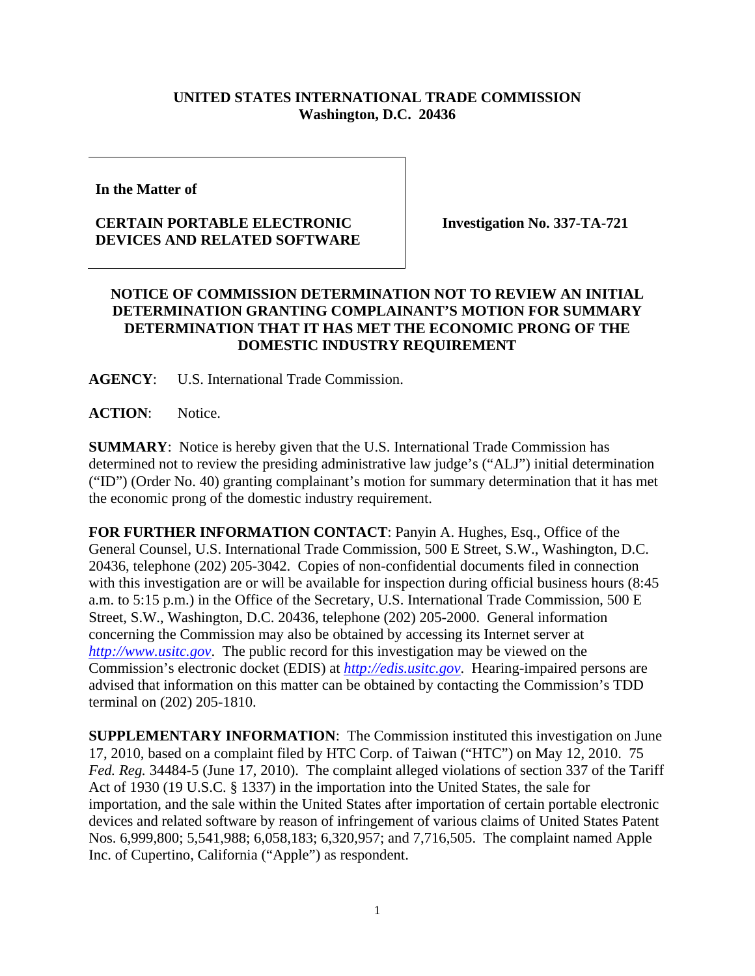## **UNITED STATES INTERNATIONAL TRADE COMMISSION Washington, D.C. 20436**

**In the Matter of** 

## **CERTAIN PORTABLE ELECTRONIC DEVICES AND RELATED SOFTWARE**

**Investigation No. 337-TA-721** 

## **NOTICE OF COMMISSION DETERMINATION NOT TO REVIEW AN INITIAL DETERMINATION GRANTING COMPLAINANT'S MOTION FOR SUMMARY DETERMINATION THAT IT HAS MET THE ECONOMIC PRONG OF THE DOMESTIC INDUSTRY REQUIREMENT**

**AGENCY**: U.S. International Trade Commission.

**ACTION**: Notice.

**SUMMARY**: Notice is hereby given that the U.S. International Trade Commission has determined not to review the presiding administrative law judge's ("ALJ") initial determination ("ID") (Order No. 40) granting complainant's motion for summary determination that it has met the economic prong of the domestic industry requirement.

**FOR FURTHER INFORMATION CONTACT**: Panyin A. Hughes, Esq., Office of the General Counsel, U.S. International Trade Commission, 500 E Street, S.W., Washington, D.C. 20436, telephone (202) 205-3042. Copies of non-confidential documents filed in connection with this investigation are or will be available for inspection during official business hours (8:45 a.m. to 5:15 p.m.) in the Office of the Secretary, U.S. International Trade Commission, 500 E Street, S.W., Washington, D.C. 20436, telephone (202) 205-2000. General information concerning the Commission may also be obtained by accessing its Internet server at *http://www.usitc.gov*. The public record for this investigation may be viewed on the Commission's electronic docket (EDIS) at *http://edis.usitc.gov*. Hearing-impaired persons are advised that information on this matter can be obtained by contacting the Commission's TDD terminal on (202) 205-1810.

**SUPPLEMENTARY INFORMATION**: The Commission instituted this investigation on June 17, 2010, based on a complaint filed by HTC Corp. of Taiwan ("HTC") on May 12, 2010. 75 *Fed. Reg.* 34484-5 (June 17, 2010). The complaint alleged violations of section 337 of the Tariff Act of 1930 (19 U.S.C. § 1337) in the importation into the United States, the sale for importation, and the sale within the United States after importation of certain portable electronic devices and related software by reason of infringement of various claims of United States Patent Nos. 6,999,800; 5,541,988; 6,058,183; 6,320,957; and 7,716,505. The complaint named Apple Inc. of Cupertino, California ("Apple") as respondent.